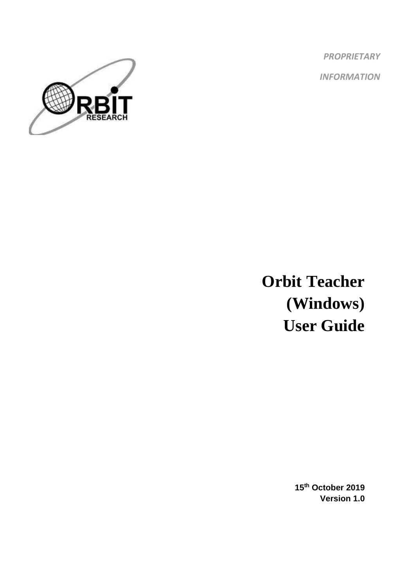*PROPRIETARY INFORMATION*



**Orbit Teacher (Windows) User Guide**

> **15th October 2019 Version 1.0**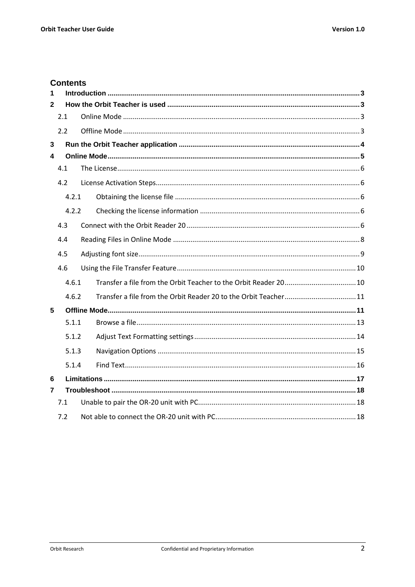## **Contents**

| 1              |     |       |  |  |  |  |
|----------------|-----|-------|--|--|--|--|
| $\overline{2}$ |     |       |  |  |  |  |
|                | 2.1 |       |  |  |  |  |
|                | 2.2 |       |  |  |  |  |
| $\overline{3}$ |     |       |  |  |  |  |
| 4              |     |       |  |  |  |  |
|                | 4.1 |       |  |  |  |  |
|                | 4.2 |       |  |  |  |  |
|                |     | 4.2.1 |  |  |  |  |
|                |     | 4.2.2 |  |  |  |  |
|                | 4.3 |       |  |  |  |  |
|                | 4.4 |       |  |  |  |  |
|                | 4.5 |       |  |  |  |  |
|                | 4.6 |       |  |  |  |  |
|                |     | 4.6.1 |  |  |  |  |
|                |     | 4.6.2 |  |  |  |  |
| 5              |     |       |  |  |  |  |
|                |     | 5.1.1 |  |  |  |  |
|                |     | 5.1.2 |  |  |  |  |
|                |     | 5.1.3 |  |  |  |  |
|                |     | 5.1.4 |  |  |  |  |
| 6              |     |       |  |  |  |  |
| 7              |     |       |  |  |  |  |
|                | 7.1 |       |  |  |  |  |
|                | 7.2 |       |  |  |  |  |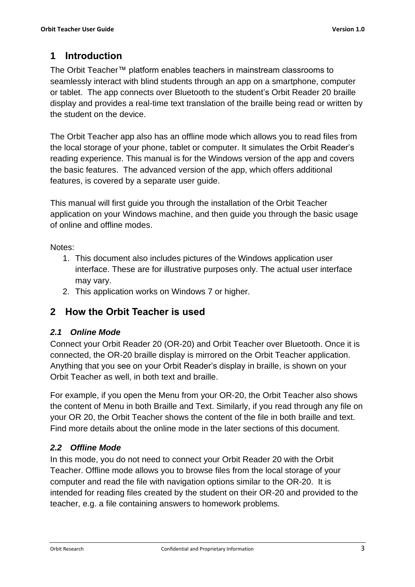# <span id="page-2-0"></span>**1 Introduction**

The Orbit Teacher™ platform enables teachers in mainstream classrooms to seamlessly interact with blind students through an app on a smartphone, computer or tablet. The app connects over Bluetooth to the student's Orbit Reader 20 braille display and provides a real-time text translation of the braille being read or written by the student on the device.

The Orbit Teacher app also has an offline mode which allows you to read files from the local storage of your phone, tablet or computer. It simulates the Orbit Reader's reading experience. This manual is for the Windows version of the app and covers the basic features. The advanced version of the app, which offers additional features, is covered by a separate user guide.

This manual will first guide you through the installation of the Orbit Teacher application on your Windows machine, and then guide you through the basic usage of online and offline modes.

Notes:

- 1. This document also includes pictures of the Windows application user interface. These are for illustrative purposes only. The actual user interface may vary.
- 2. This application works on Windows 7 or higher.

## <span id="page-2-1"></span>**2 How the Orbit Teacher is used**

## <span id="page-2-2"></span>*2.1 Online Mode*

Connect your Orbit Reader 20 (OR-20) and Orbit Teacher over Bluetooth. Once it is connected, the OR-20 braille display is mirrored on the Orbit Teacher application. Anything that you see on your Orbit Reader's display in braille, is shown on your Orbit Teacher as well, in both text and braille.

For example, if you open the Menu from your OR-20, the Orbit Teacher also shows the content of Menu in both Braille and Text. Similarly, if you read through any file on your OR 20, the Orbit Teacher shows the content of the file in both braille and text. Find more details about the online mode in the later sections of this document.

## <span id="page-2-3"></span>*2.2 Offline Mode*

In this mode, you do not need to connect your Orbit Reader 20 with the Orbit Teacher. Offline mode allows you to browse files from the local storage of your computer and read the file with navigation options similar to the OR-20. It is intended for reading files created by the student on their OR-20 and provided to the teacher, e.g. a file containing answers to homework problems.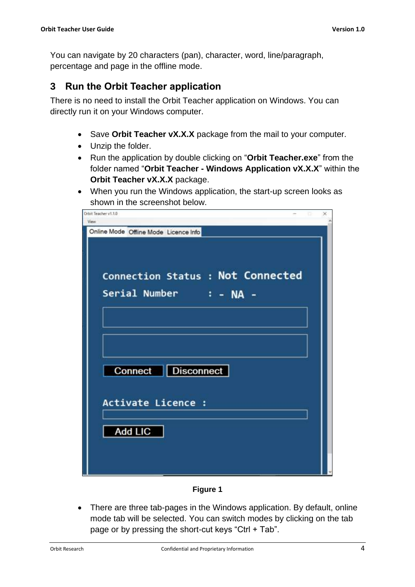You can navigate by 20 characters (pan), character, word, line/paragraph, percentage and page in the offline mode.

## <span id="page-3-0"></span>**3 Run the Orbit Teacher application**

There is no need to install the Orbit Teacher application on Windows. You can directly run it on your Windows computer.

- Save **Orbit Teacher vX.X.X** package from the mail to your computer.
- Unzip the folder.
- Run the application by double clicking on "**Orbit Teacher.exe**" from the folder named "**Orbit Teacher - Windows Application vX.X.X**" within the **Orbit Teacher vX.X.X** package.
- When you run the Windows application, the start-up screen looks as shown in the screenshot below.

| Orbit Teacher v1.1.0<br>View          | G | × |
|---------------------------------------|---|---|
| Online Mode Offline Mode Licence Info |   |   |
|                                       |   |   |
|                                       |   |   |
| Connection Status : Not Connected     |   |   |
| Serial Number : - NA -                |   |   |
|                                       |   |   |
|                                       |   |   |
|                                       |   |   |
|                                       |   |   |
| Connect   Disconnect                  |   |   |
|                                       |   |   |
| Activate Licence :                    |   |   |
|                                       |   |   |
| <b>Add LIC</b>                        |   |   |
|                                       |   |   |
|                                       |   |   |
|                                       |   |   |

**Figure 1**

• There are three tab-pages in the Windows application. By default, online mode tab will be selected. You can switch modes by clicking on the tab page or by pressing the short-cut keys "Ctrl + Tab".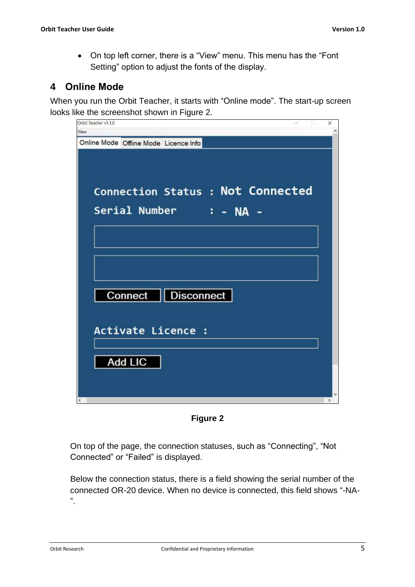• On top left corner, there is a "View" menu. This menu has the "Font Setting" option to adjust the fonts of the display.

## <span id="page-4-0"></span>**4 Online Mode**

When you run the Orbit Teacher, it starts with "Online mode". The start-up screen looks like the screenshot shown in [Figure 2](#page-4-1).



**Figure 2**

<span id="page-4-1"></span>On top of the page, the connection statuses, such as "Connecting", "Not Connected" or "Failed" is displayed.

Below the connection status, there is a field showing the serial number of the connected OR-20 device. When no device is connected, this field shows "-NA- ".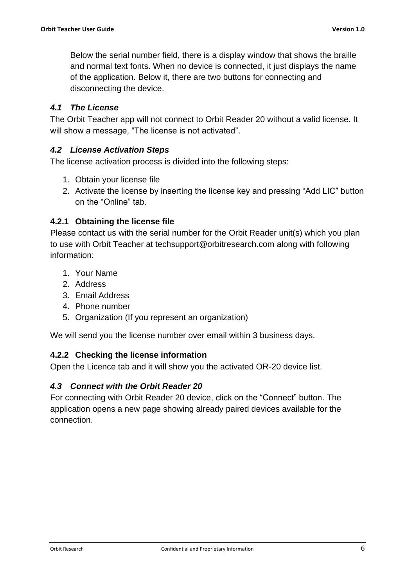Below the serial number field, there is a display window that shows the braille and normal text fonts. When no device is connected, it just displays the name of the application. Below it, there are two buttons for connecting and disconnecting the device.

#### <span id="page-5-0"></span>*4.1 The License*

The Orbit Teacher app will not connect to Orbit Reader 20 without a valid license. It will show a message, "The license is not activated".

#### <span id="page-5-1"></span>*4.2 License Activation Steps*

The license activation process is divided into the following steps:

- 1. Obtain your license file
- 2. Activate the license by inserting the license key and pressing "Add LIC" button on the "Online" tab.

#### <span id="page-5-2"></span>**4.2.1 Obtaining the license file**

Please contact us with the serial number for the Orbit Reader unit(s) which you plan to use with Orbit Teacher at [techsupport@orbitresearch.com](mailto:techsupport@orbitresearch.com) along with following information:

- 1. Your Name
- 2. Address
- 3. Email Address
- 4. Phone number
- 5. Organization (If you represent an organization)

We will send you the license number over email within 3 business days.

#### <span id="page-5-3"></span>**4.2.2 Checking the license information**

Open the Licence tab and it will show you the activated OR-20 device list.

#### <span id="page-5-4"></span>*4.3 Connect with the Orbit Reader 20*

For connecting with Orbit Reader 20 device, click on the "Connect" button. The application opens a new page showing already paired devices available for the connection.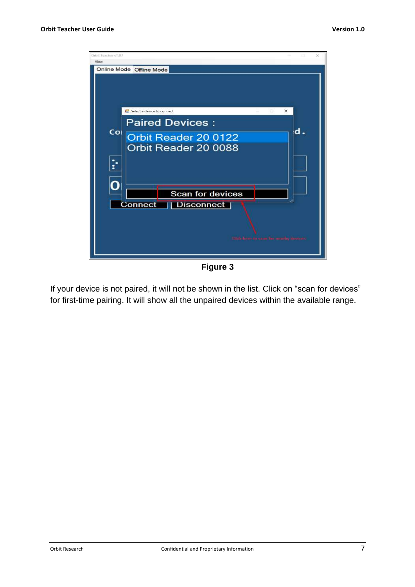

**Figure 3**

If your device is not paired, it will not be shown in the list. Click on "scan for devices" for first-time pairing. It will show all the unpaired devices within the available range.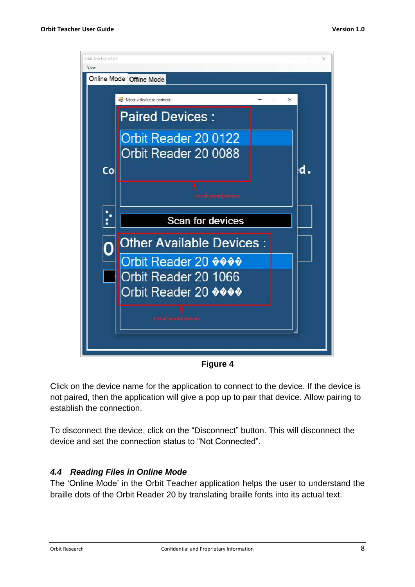

**Figure 4**

Click on the device name for the application to connect to the device. If the device is not paired, then the application will give a pop up to pair that device. Allow pairing to establish the connection.

To disconnect the device, click on the "Disconnect" button. This will disconnect the device and set the connection status to "Not Connected".

#### <span id="page-7-0"></span>*4.4 Reading Files in Online Mode*

The 'Online Mode' in the Orbit Teacher application helps the user to understand the braille dots of the Orbit Reader 20 by translating braille fonts into its actual text.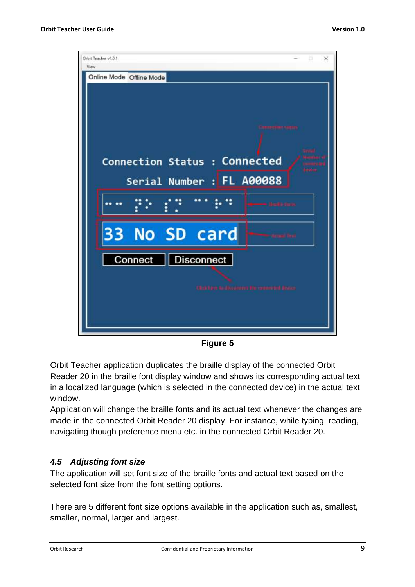

**Figure 5**

Orbit Teacher application duplicates the braille display of the connected Orbit Reader 20 in the braille font display window and shows its corresponding actual text in a localized language (which is selected in the connected device) in the actual text window.

Application will change the braille fonts and its actual text whenever the changes are made in the connected Orbit Reader 20 display. For instance, while typing, reading, navigating though preference menu etc. in the connected Orbit Reader 20.

## <span id="page-8-0"></span>*4.5 Adjusting font size*

The application will set font size of the braille fonts and actual text based on the selected font size from the font setting options.

There are 5 different font size options available in the application such as, smallest, smaller, normal, larger and largest.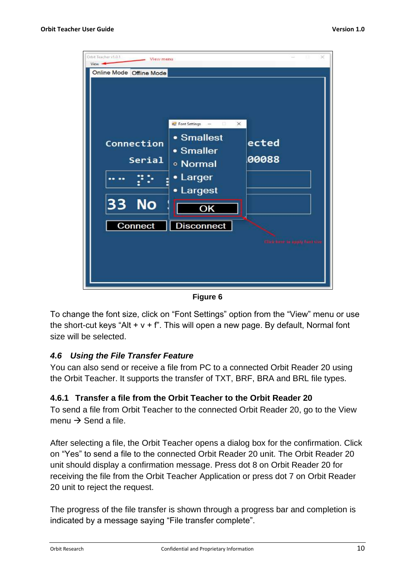

**Figure 6**

To change the font size, click on "Font Settings" option from the "View" menu or use the short-cut keys "Alt  $+ v + f$ ". This will open a new page. By default, Normal font size will be selected.

#### <span id="page-9-0"></span>*4.6 Using the File Transfer Feature*

You can also send or receive a file from PC to a connected Orbit Reader 20 using the Orbit Teacher. It supports the transfer of TXT, BRF, BRA and BRL file types.

## <span id="page-9-1"></span>**4.6.1 Transfer a file from the Orbit Teacher to the Orbit Reader 20**

To send a file from Orbit Teacher to the connected Orbit Reader 20, go to the View menu  $\rightarrow$  Send a file.

After selecting a file, the Orbit Teacher opens a dialog box for the confirmation. Click on "Yes" to send a file to the connected Orbit Reader 20 unit. The Orbit Reader 20 unit should display a confirmation message. Press dot 8 on Orbit Reader 20 for receiving the file from the Orbit Teacher Application or press dot 7 on Orbit Reader 20 unit to reject the request.

The progress of the file transfer is shown through a progress bar and completion is indicated by a message saying "File transfer complete".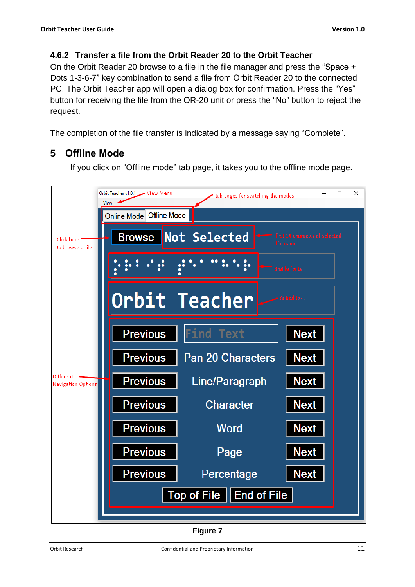### <span id="page-10-0"></span>**4.6.2 Transfer a file from the Orbit Reader 20 to the Orbit Teacher**

On the Orbit Reader 20 browse to a file in the file manager and press the "Space + Dots 1-3-6-7" key combination to send a file from Orbit Reader 20 to the connected PC. The Orbit Teacher app will open a dialog box for confirmation. Press the "Yes" button for receiving the file from the OR-20 unit or press the "No" button to reject the request.

The completion of the file transfer is indicated by a message saying "Complete".

# <span id="page-10-1"></span>**5 Offline Mode**

If you click on "Offline mode" tab page, it takes you to the offline mode page.



**Figure 7**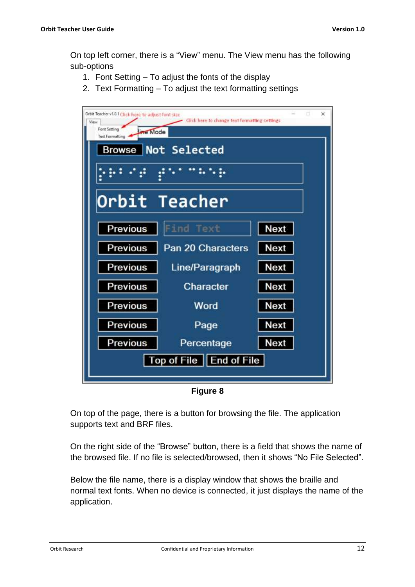On top left corner, there is a "View" menu. The View menu has the following sub-options

- 1. Font Setting To adjust the fonts of the display
- 2. Text Formatting To adjust the text formatting settings



**Figure 8**

On top of the page, there is a button for browsing the file. The application supports text and BRF files.

On the right side of the "Browse" button, there is a field that shows the name of the browsed file. If no file is selected/browsed, then it shows "No File Selected".

Below the file name, there is a display window that shows the braille and normal text fonts. When no device is connected, it just displays the name of the application.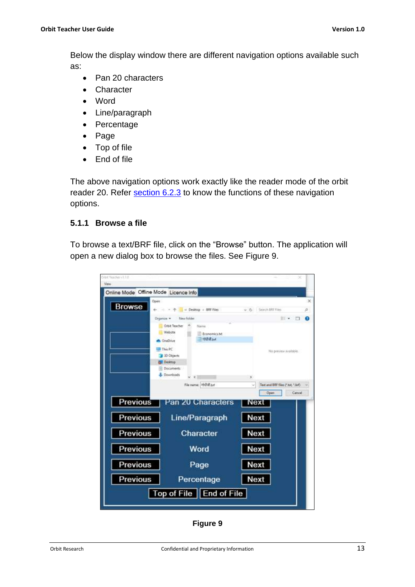Below the display window there are different navigation options available such as:

- Pan 20 characters
- Character
- Word
- Line/paragraph
- Percentage
- Page
- Top of file
- End of file

The above navigation options work exactly like the reader mode of the orbit reader 20. Refer [section 6.2.3](#page-17-0) to know the functions of these navigation options.

#### <span id="page-12-0"></span>**5.1.1 Browse a file**

To browse a text/BRF file, click on the "Browse" button. The application will open a new dialog box to browse the files. See Figure 9.

| Orbit Teacher (U.S.B.<br>View.        |                                     |                                  |
|---------------------------------------|-------------------------------------|----------------------------------|
| Online Mode Offline Mode Licence Info |                                     |                                  |
| Open:                                 |                                     | $\times$                         |
| <b>Browse</b>                         | ← - - - - - Desktop + BRF Files     | v & Seech BRF Files<br>o         |
|                                       | New folder<br>Drganije =            | $\blacksquare$<br>o              |
|                                       | Orbit Teacher<br>Name               |                                  |
|                                       | Website<br>Economics tit            |                                  |
|                                       | TEGRET<br><b>Chellive</b>           |                                  |
|                                       | This PC                             | No preview available.            |
|                                       | <b>3D Objects</b><br><b>Desktop</b> |                                  |
|                                       | Documents                           |                                  |
|                                       | <b>L</b> Downloads<br>光谱            | y.                               |
|                                       | File name: 4th B.b.t.               | Text and BRF files ("Jut, "Jut). |
|                                       |                                     | <b>Open</b><br>Cancel            |
| Previous                              | Pan 20 Characters                   | Next                             |
|                                       |                                     |                                  |
| Previous                              | Line/Paragraph                      | <b>Next</b>                      |
|                                       |                                     |                                  |
| Previous                              | Character                           | <b>Next</b>                      |
|                                       |                                     |                                  |
| Previous                              | Word                                | Next                             |
| Previous                              |                                     | <b>Next</b>                      |
|                                       | Page                                |                                  |
| Previous                              | Percentage                          | Next                             |
|                                       | Top of File   End of File           |                                  |
|                                       |                                     |                                  |

**Figure 9**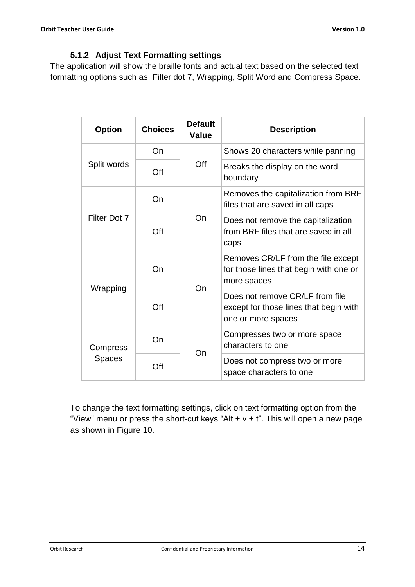## **5.1.2 Adjust Text Formatting settings**

<span id="page-13-0"></span>The application will show the braille fonts and actual text based on the selected text formatting options such as, Filter dot 7, Wrapping, Split Word and Compress Space.

| <b>Option</b> | <b>Choices</b> | <b>Default</b><br><b>Value</b>                           | <b>Description</b>                                                                              |
|---------------|----------------|----------------------------------------------------------|-------------------------------------------------------------------------------------------------|
|               | On             |                                                          | Shows 20 characters while panning                                                               |
| Split words   | Off            | Off                                                      | Breaks the display on the word<br>boundary                                                      |
|               | On             |                                                          | Removes the capitalization from BRF<br>files that are saved in all caps                         |
| Filter Dot 7  | Off            | On                                                       | Does not remove the capitalization<br>from BRF files that are saved in all<br>caps              |
| Wrapping      | On             | On                                                       | Removes CR/LF from the file except<br>for those lines that begin with one or<br>more spaces     |
|               | Off            |                                                          | Does not remove CR/LF from file<br>except for those lines that begin with<br>one or more spaces |
| Compress      | On             | On                                                       | Compresses two or more space<br>characters to one                                               |
| <b>Spaces</b> | Off            | Does not compress two or more<br>space characters to one |                                                                                                 |

To change the text formatting settings, click on text formatting option from the "View" menu or press the short-cut keys "Alt  $+ v + t$ ". This will open a new page as shown in Figure 10.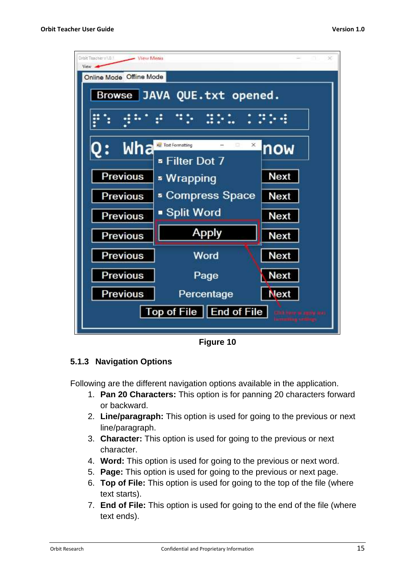| Orbit Teacher VI.O.1<br>View Menu<br>View - |                                                    |             |  |  |
|---------------------------------------------|----------------------------------------------------|-------------|--|--|
| Online Mode Offline Mode                    |                                                    |             |  |  |
|                                             | Browse JAVA QUE.txt opened.                        |             |  |  |
|                                             |                                                    |             |  |  |
| Wha                                         | Test Formatting<br>×<br>o<br><b>¤ Filter Dot 7</b> | now         |  |  |
| Previous                                    | » Wrapping                                         | <b>Next</b> |  |  |
| <b>Previous</b>                             | <b>Exempress Space</b>                             | <b>Next</b> |  |  |
| <b>Previous</b>                             | ■ Split Word                                       | <b>Next</b> |  |  |
| Previous                                    | <b>Apply</b>                                       | <b>Next</b> |  |  |
| <b>Previous</b>                             | Word                                               | <b>Next</b> |  |  |
| <b>Previous</b>                             | Page                                               | <b>Next</b> |  |  |
| <b>Previous</b>                             | Percentage                                         | <b>Next</b> |  |  |
| Top of File   End of File                   |                                                    |             |  |  |

**Figure 10**

## <span id="page-14-0"></span>**5.1.3 Navigation Options**

Following are the different navigation options available in the application.

- 1. **Pan 20 Characters:** This option is for panning 20 characters forward or backward.
- 2. **Line/paragraph:** This option is used for going to the previous or next line/paragraph.
- 3. **Character:** This option is used for going to the previous or next character.
- 4. **Word:** This option is used for going to the previous or next word.
- 5. **Page:** This option is used for going to the previous or next page.
- 6. **Top of File:** This option is used for going to the top of the file (where text starts).
- 7. **End of File:** This option is used for going to the end of the file (where text ends).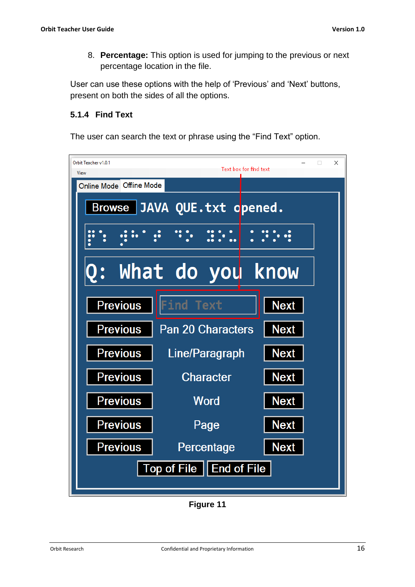8. **Percentage:** This option is used for jumping to the previous or next percentage location in the file.

User can use these options with the help of 'Previous' and 'Next' buttons, present on both the sides of all the options.

#### <span id="page-15-0"></span>**5.1.4 Find Text**

The user can search the text or phrase using the "Find Text" option.

| Orbit Teacher v1.0.1<br>×<br>□<br>Text box for find text<br>View |                             |             |  |  |
|------------------------------------------------------------------|-----------------------------|-------------|--|--|
| Online Mode Offline Mode                                         |                             |             |  |  |
|                                                                  | Browse JAVA QUE.txt opened. |             |  |  |
|                                                                  | $\bullet$                   |             |  |  |
|                                                                  | What do you know            |             |  |  |
| <b>Previous</b>                                                  | Find<br>Text                | <b>Next</b> |  |  |
| <b>Previous</b>                                                  | <b>Pan 20 Characters</b>    | <b>Next</b> |  |  |
| <b>Previous</b>                                                  | Line/Paragraph              | <b>Next</b> |  |  |
| <b>Previous</b>                                                  | <b>Character</b>            | <b>Next</b> |  |  |
| <b>Previous</b>                                                  | <b>Word</b>                 | <b>Next</b> |  |  |
| <b>Previous</b>                                                  | Page                        | <b>Next</b> |  |  |
| <b>Previous</b>                                                  | Percentage                  | <b>Next</b> |  |  |
| Top of File    End of File                                       |                             |             |  |  |

**Figure 11**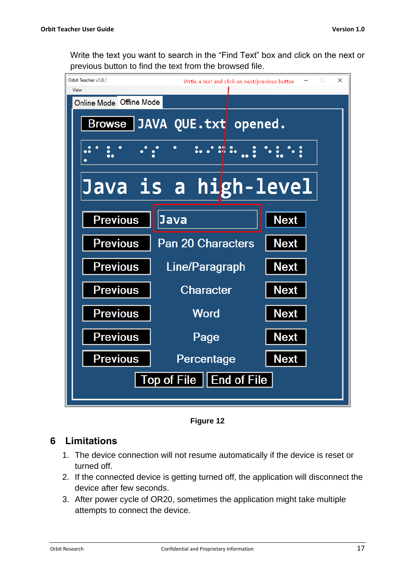Write the text you want to search in the "Find Text" box and click on the next or previous button to find the text from the browsed file.



**Figure 12**

## <span id="page-16-0"></span>**6 Limitations**

- 1. The device connection will not resume automatically if the device is reset or turned off.
- 2. If the connected device is getting turned off, the application will disconnect the device after few seconds.
- 3. After power cycle of OR20, sometimes the application might take multiple attempts to connect the device.